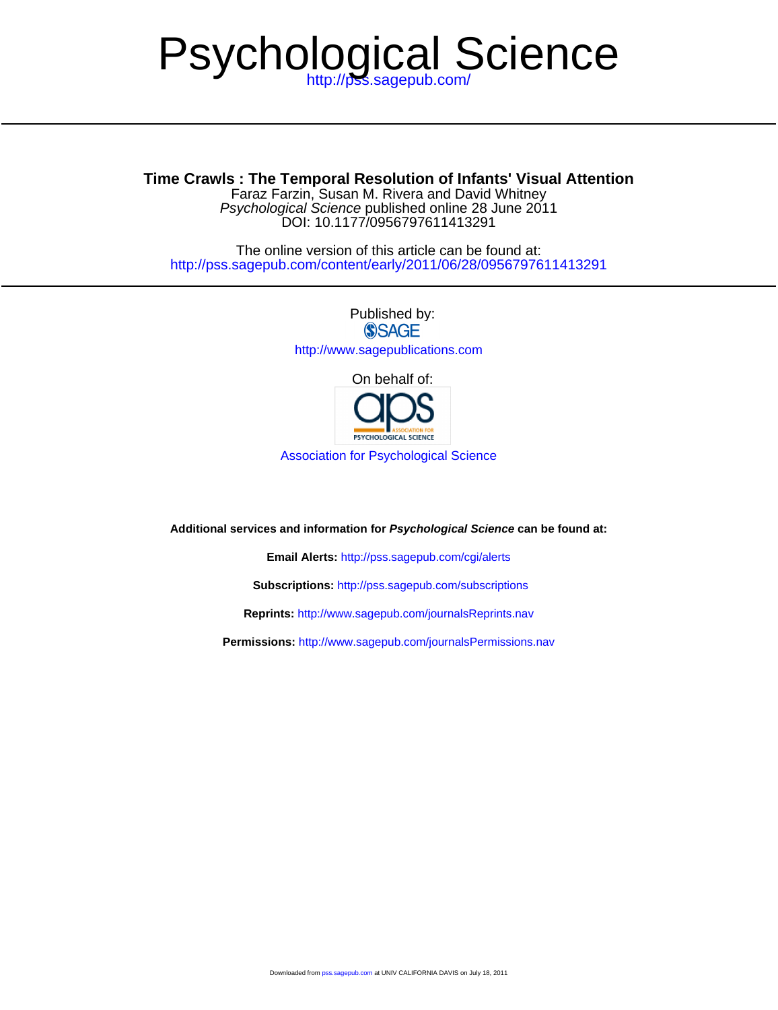# Psychological Science

# **Time Crawls : The Temporal Resolution of Infants' Visual Attention**

DOI: 10.1177/0956797611413291 Psychological Science published online 28 June 2011 Faraz Farzin, Susan M. Rivera and David Whitney

<http://pss.sagepub.com/content/early/2011/06/28/0956797611413291> The online version of this article can be found at:

> Published by:<br>
> SAGE <http://www.sagepublications.com> On behalf of:

> > PSYCHOLOGICAL SCIENCE

[Association for Psychological Science](http://www.psychologicalscience.org/)

**Additional services and information for Psychological Science can be found at:**

**Email Alerts:** <http://pss.sagepub.com/cgi/alerts>

**Subscriptions:** <http://pss.sagepub.com/subscriptions>

**Reprints:** <http://www.sagepub.com/journalsReprints.nav>

**Permissions:** <http://www.sagepub.com/journalsPermissions.nav>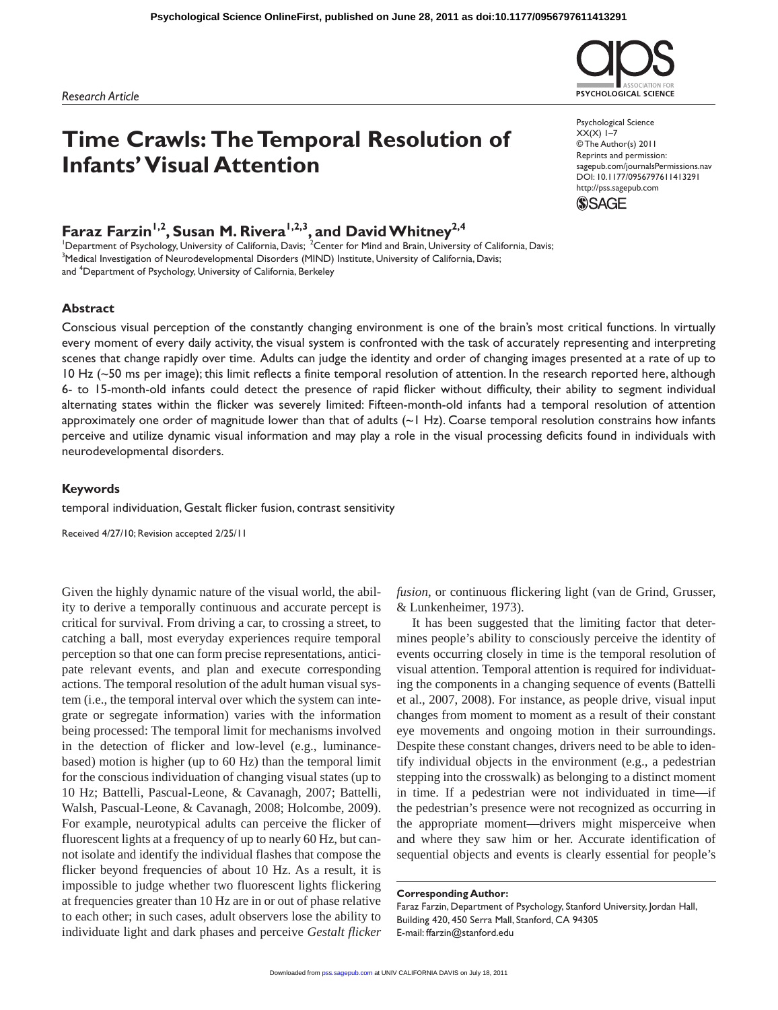# **Time Crawls: The Temporal Resolution of Infants' Visual Attention**

# **Faraz Farzin<sup>1,2</sup>, Susan M. Rivera<sup>1,2,3</sup>, and David Whitney<sup>2,4</sup><br>'Department of Psychology, University of California, Davis; <sup>2</sup>Center for Mind and Brain, University of California, Davis;**

<sup>3</sup>Medical Investigation of Neurodevelopmental Disorders (MIND) Institute, University of California, Davis; and <sup>4</sup>Department of Psychology, University of California, Berkeley

### **Abstract**

Conscious visual perception of the constantly changing environment is one of the brain's most critical functions. In virtually every moment of every daily activity, the visual system is confronted with the task of accurately representing and interpreting scenes that change rapidly over time. Adults can judge the identity and order of changing images presented at a rate of up to 10 Hz (~50 ms per image); this limit reflects a finite temporal resolution of attention. In the research reported here, although 6- to 15-month-old infants could detect the presence of rapid flicker without difficulty, their ability to segment individual alternating states within the flicker was severely limited: Fifteen-month-old infants had a temporal resolution of attention approximately one order of magnitude lower than that of adults (~1 Hz). Coarse temporal resolution constrains how infants perceive and utilize dynamic visual information and may play a role in the visual processing deficits found in individuals with neurodevelopmental disorders.

#### **Keywords**

temporal individuation, Gestalt flicker fusion, contrast sensitivity

Received 4/27/10; Revision accepted 2/25/11

Given the highly dynamic nature of the visual world, the ability to derive a temporally continuous and accurate percept is critical for survival. From driving a car, to crossing a street, to catching a ball, most everyday experiences require temporal perception so that one can form precise representations, anticipate relevant events, and plan and execute corresponding actions. The temporal resolution of the adult human visual system (i.e., the temporal interval over which the system can integrate or segregate information) varies with the information being processed: The temporal limit for mechanisms involved in the detection of flicker and low-level (e.g., luminancebased) motion is higher (up to 60 Hz) than the temporal limit for the conscious individuation of changing visual states (up to 10 Hz; Battelli, Pascual-Leone, & Cavanagh, 2007; Battelli, Walsh, Pascual-Leone, & Cavanagh, 2008; Holcombe, 2009). For example, neurotypical adults can perceive the flicker of fluorescent lights at a frequency of up to nearly 60 Hz, but cannot isolate and identify the individual flashes that compose the flicker beyond frequencies of about 10 Hz. As a result, it is impossible to judge whether two fluorescent lights flickering at frequencies greater than 10 Hz are in or out of phase relative to each other; in such cases, adult observers lose the ability to individuate light and dark phases and perceive *Gestalt flicker*  *fusion*, or continuous flickering light (van de Grind, Grusser, & Lunkenheimer, 1973).

It has been suggested that the limiting factor that determines people's ability to consciously perceive the identity of events occurring closely in time is the temporal resolution of visual attention. Temporal attention is required for individuating the components in a changing sequence of events (Battelli et al., 2007, 2008). For instance, as people drive, visual input changes from moment to moment as a result of their constant eye movements and ongoing motion in their surroundings. Despite these constant changes, drivers need to be able to identify individual objects in the environment (e.g., a pedestrian stepping into the crosswalk) as belonging to a distinct moment in time. If a pedestrian were not individuated in time—if the pedestrian's presence were not recognized as occurring in the appropriate moment—drivers might misperceive when and where they saw him or her. Accurate identification of sequential objects and events is clearly essential for people's

#### **Corresponding Author:**

Faraz Farzin, Department of Psychology, Stanford University, Jordan Hall, Building 420, 450 Serra Mall, Stanford, CA 94305 E-mail: ffarzin@stanford.edu



Psychological Science  $XX(X)$  1–7 © The Author(s) 2011 Reprints and permission: sagepub.com/journalsPermissions.nav DOI: 10.1177/0956797611413291 http://pss.sagepub.com

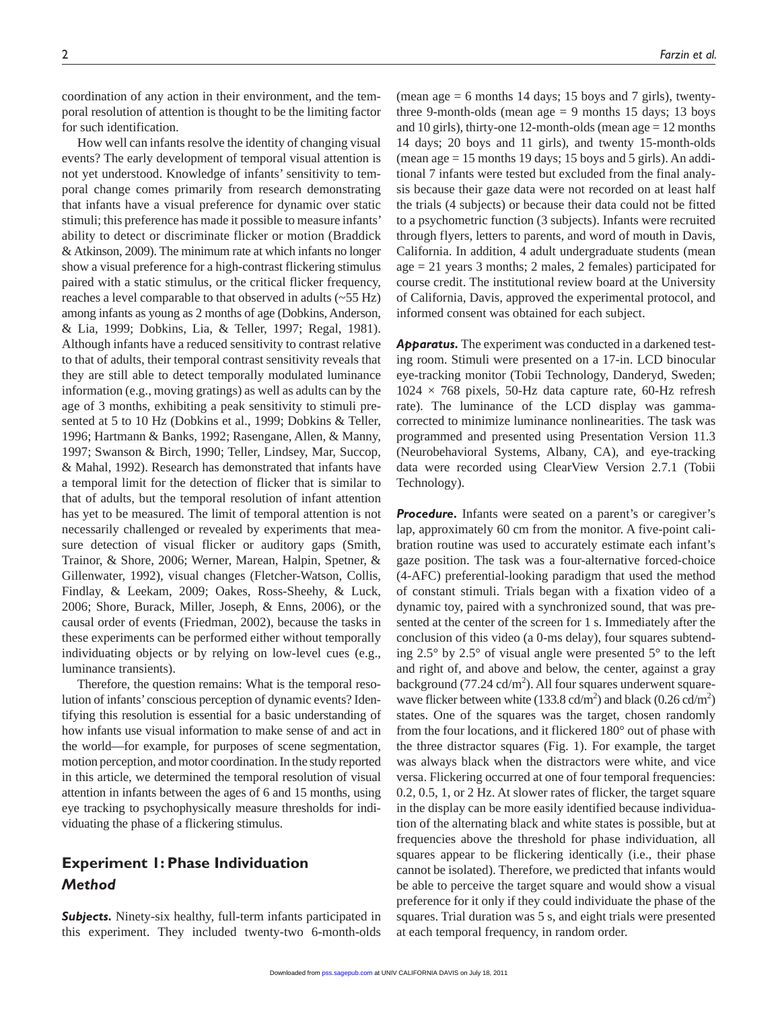coordination of any action in their environment, and the temporal resolution of attention is thought to be the limiting factor for such identification.

How well can infants resolve the identity of changing visual events? The early development of temporal visual attention is not yet understood. Knowledge of infants' sensitivity to temporal change comes primarily from research demonstrating that infants have a visual preference for dynamic over static stimuli; this preference has made it possible to measure infants' ability to detect or discriminate flicker or motion (Braddick & Atkinson, 2009). The minimum rate at which infants no longer show a visual preference for a high-contrast flickering stimulus paired with a static stimulus, or the critical flicker frequency, reaches a level comparable to that observed in adults (~55 Hz) among infants as young as 2 months of age (Dobkins, Anderson, & Lia, 1999; Dobkins, Lia, & Teller, 1997; Regal, 1981). Although infants have a reduced sensitivity to contrast relative to that of adults, their temporal contrast sensitivity reveals that they are still able to detect temporally modulated luminance information (e.g., moving gratings) as well as adults can by the age of 3 months, exhibiting a peak sensitivity to stimuli presented at 5 to 10 Hz (Dobkins et al., 1999; Dobkins & Teller, 1996; Hartmann & Banks, 1992; Rasengane, Allen, & Manny, 1997; Swanson & Birch, 1990; Teller, Lindsey, Mar, Succop, & Mahal, 1992). Research has demonstrated that infants have a temporal limit for the detection of flicker that is similar to that of adults, but the temporal resolution of infant attention has yet to be measured. The limit of temporal attention is not necessarily challenged or revealed by experiments that measure detection of visual flicker or auditory gaps (Smith, Trainor, & Shore, 2006; Werner, Marean, Halpin, Spetner, & Gillenwater, 1992), visual changes (Fletcher-Watson, Collis, Findlay, & Leekam, 2009; Oakes, Ross-Sheehy, & Luck, 2006; Shore, Burack, Miller, Joseph, & Enns, 2006), or the causal order of events (Friedman, 2002), because the tasks in these experiments can be performed either without temporally individuating objects or by relying on low-level cues (e.g., luminance transients).

Therefore, the question remains: What is the temporal resolution of infants' conscious perception of dynamic events? Identifying this resolution is essential for a basic understanding of how infants use visual information to make sense of and act in the world—for example, for purposes of scene segmentation, motion perception, and motor coordination. In the study reported in this article, we determined the temporal resolution of visual attention in infants between the ages of 6 and 15 months, using eye tracking to psychophysically measure thresholds for individuating the phase of a flickering stimulus.

# **Experiment 1: Phase Individuation** *Method*

*Subjects.* Ninety-six healthy, full-term infants participated in this experiment. They included twenty-two 6-month-olds

(mean age  $= 6$  months 14 days; 15 boys and 7 girls), twentythree 9-month-olds (mean age  $= 9$  months 15 days; 13 boys and 10 girls), thirty-one 12-month-olds (mean  $\text{age} = 12 \text{ months}$ ) 14 days; 20 boys and 11 girls), and twenty 15-month-olds (mean age  $= 15$  months 19 days; 15 boys and 5 girls). An additional 7 infants were tested but excluded from the final analysis because their gaze data were not recorded on at least half the trials (4 subjects) or because their data could not be fitted to a psychometric function (3 subjects). Infants were recruited through flyers, letters to parents, and word of mouth in Davis, California. In addition, 4 adult undergraduate students (mean age = 21 years 3 months; 2 males, 2 females) participated for course credit. The institutional review board at the University of California, Davis, approved the experimental protocol, and informed consent was obtained for each subject.

*Apparatus.* The experiment was conducted in a darkened testing room. Stimuli were presented on a 17-in. LCD binocular eye-tracking monitor (Tobii Technology, Danderyd, Sweden;  $1024 \times 768$  pixels, 50-Hz data capture rate, 60-Hz refresh rate). The luminance of the LCD display was gammacorrected to minimize luminance nonlinearities. The task was programmed and presented using Presentation Version 11.3 (Neurobehavioral Systems, Albany, CA), and eye-tracking data were recorded using ClearView Version 2.7.1 (Tobii Technology).

**Procedure.** Infants were seated on a parent's or caregiver's lap, approximately 60 cm from the monitor. A five-point calibration routine was used to accurately estimate each infant's gaze position. The task was a four-alternative forced-choice (4-AFC) preferential-looking paradigm that used the method of constant stimuli. Trials began with a fixation video of a dynamic toy, paired with a synchronized sound, that was presented at the center of the screen for 1 s. Immediately after the conclusion of this video (a 0-ms delay), four squares subtending 2.5° by 2.5° of visual angle were presented 5° to the left and right of, and above and below, the center, against a gray background  $(77.24 \text{ cd/m}^2)$ . All four squares underwent squarewave flicker between white  $(133.8 \text{ cd/m}^2)$  and black  $(0.26 \text{ cd/m}^2)$ states. One of the squares was the target, chosen randomly from the four locations, and it flickered 180° out of phase with the three distractor squares (Fig. 1). For example, the target was always black when the distractors were white, and vice versa. Flickering occurred at one of four temporal frequencies: 0.2, 0.5, 1, or 2 Hz. At slower rates of flicker, the target square in the display can be more easily identified because individuation of the alternating black and white states is possible, but at frequencies above the threshold for phase individuation, all squares appear to be flickering identically (i.e., their phase cannot be isolated). Therefore, we predicted that infants would be able to perceive the target square and would show a visual preference for it only if they could individuate the phase of the squares. Trial duration was 5 s, and eight trials were presented at each temporal frequency, in random order.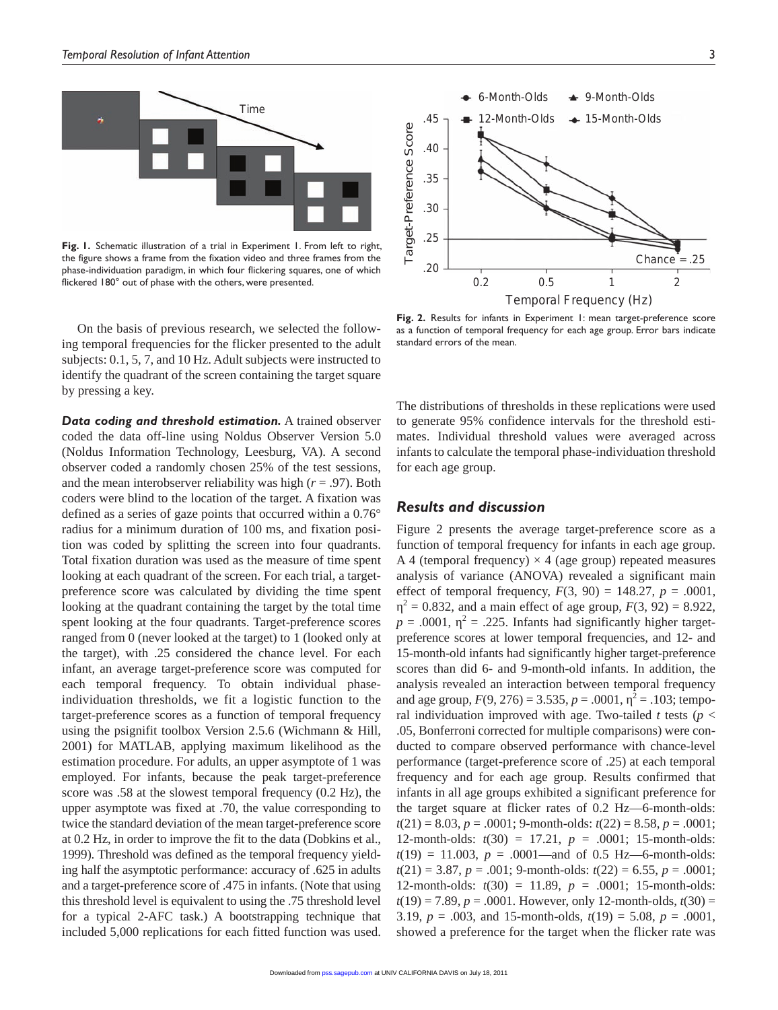

**Fig. 1.** Schematic illustration of a trial in Experiment 1. From left to right, the figure shows a frame from the fixation video and three frames from the phase-individuation paradigm, in which four flickering squares, one of which flickered 180° out of phase with the others, were presented.  $0.2$  0.5 1 2 2

On the basis of previous research, we selected the following temporal frequencies for the flicker presented to the adult subjects: 0.1, 5, 7, and 10 Hz. Adult subjects were instructed to identify the quadrant of the screen containing the target square by pressing a key.

*Data coding and threshold estimation.* A trained observer coded the data off-line using Noldus Observer Version 5.0 (Noldus Information Technology, Leesburg, VA). A second observer coded a randomly chosen 25% of the test sessions, and the mean interobserver reliability was high (*r* = .97). Both coders were blind to the location of the target. A fixation was defined as a series of gaze points that occurred within a 0.76° radius for a minimum duration of 100 ms, and fixation position was coded by splitting the screen into four quadrants. Total fixation duration was used as the measure of time spent looking at each quadrant of the screen. For each trial, a targetpreference score was calculated by dividing the time spent looking at the quadrant containing the target by the total time spent looking at the four quadrants. Target-preference scores ranged from 0 (never looked at the target) to 1 (looked only at the target), with .25 considered the chance level. For each infant, an average target-preference score was computed for each temporal frequency. To obtain individual phaseindividuation thresholds, we fit a logistic function to the target-preference scores as a function of temporal frequency using the psignifit toolbox Version 2.5.6 (Wichmann & Hill, 2001) for MATLAB, applying maximum likelihood as the estimation procedure. For adults, an upper asymptote of 1 was employed. For infants, because the peak target-preference score was .58 at the slowest temporal frequency (0.2 Hz), the upper asymptote was fixed at .70, the value corresponding to twice the standard deviation of the mean target-preference score at 0.2 Hz, in order to improve the fit to the data (Dobkins et al., 1999). Threshold was defined as the temporal frequency yielding half the asymptotic performance: accuracy of .625 in adults and a target-preference score of .475 in infants. (Note that using this threshold level is equivalent to using the .75 threshold level for a typical 2-AFC task.) A bootstrapping technique that included 5,000 replications for each fitted function was used.



**Fig. 2.** Results for infants in Experiment 1: mean target-preference score as a function of temporal frequency for each age group. Error bars indicate standard errors of the mean.

The distributions of thresholds in these replications were used to generate 95% confidence intervals for the threshold estimates. Individual threshold values were averaged across infants to calculate the temporal phase-individuation threshold for each age group.

# *Results and discussion*

Figure 2 presents the average target-preference score as a function of temporal frequency for infants in each age group. A 4 (temporal frequency)  $\times$  4 (age group) repeated measures analysis of variance (ANOVA) revealed a significant main effect of temporal frequency,  $F(3, 90) = 148.27$ ,  $p = .0001$ ,  $x^2 = 0.832$ , and a main effect of age group,  $F(3, 92) = 8.922$ ,  $p = .0001$ ,  $\lambda^2 = .225$ . Infants had significantly higher targetpreference scores at lower temporal frequencies, and 12- and 15-month-old infants had significantly higher target-preference scores than did 6- and 9-month-old infants. In addition, the analysis revealed an interaction between temporal frequency and age group,  $F(9, 276) = 3.535$ ,  $p = .0001$ ,  $\frac{2}{3} = .103$ ; temporal individuation improved with age. Two-tailed  $t$  tests ( $p <$ .05, Bonferroni corrected for multiple comparisons) were conducted to compare observed performance with chance-level performance (target-preference score of .25) at each temporal frequency and for each age group. Results confirmed that infants in all age groups exhibited a significant preference for the target square at flicker rates of 0.2 Hz—6-month-olds: *t*(21) = 8.03, *p* = .0001; 9-month-olds: *t*(22) = 8.58, *p* = .0001; 12-month-olds: *t*(30) = 17.21, *p* = .0001; 15-month-olds:  $t(19) = 11.003$ ,  $p = .0001$ —and of 0.5 Hz—6-month-olds:  $t(21) = 3.87, p = .001;$  9-month-olds:  $t(22) = 6.55, p = .0001;$ 12-month-olds: *t*(30) = 11.89, *p* = .0001; 15-month-olds:  $t(19) = 7.89$ ,  $p = .0001$ . However, only 12-month-olds,  $t(30) =$ 3.19, *p* = .003, and 15-month-olds, *t*(19) = 5.08, *p* = .0001, showed a preference for the target when the flicker rate was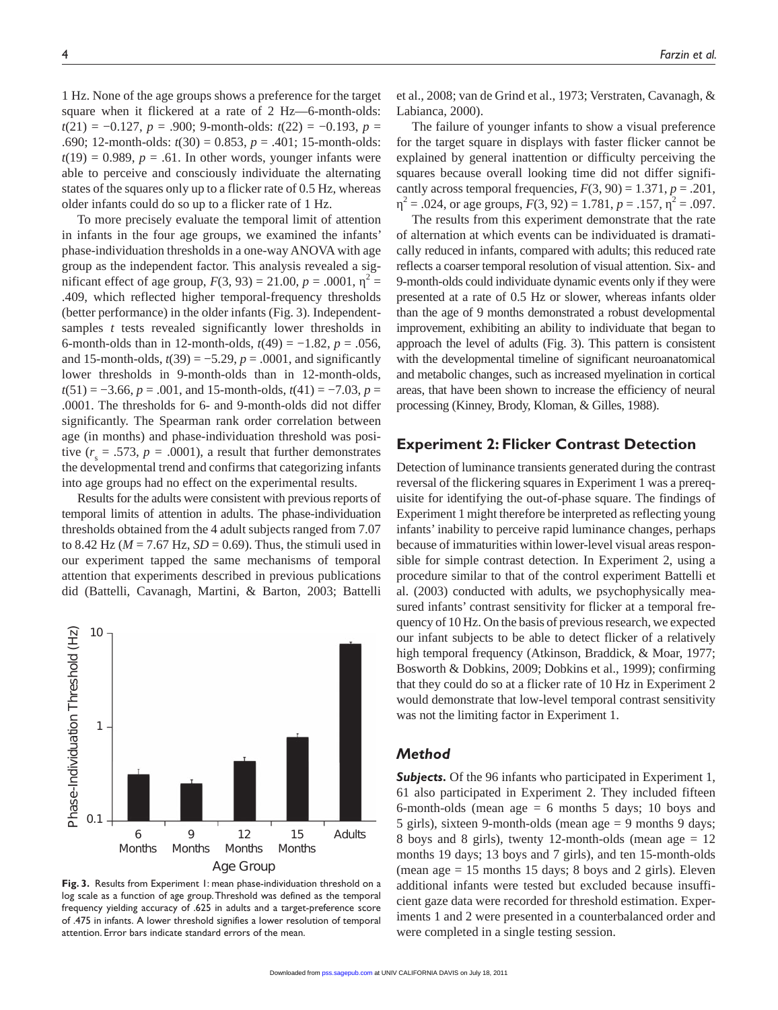1 Hz. None of the age groups shows a preference for the target square when it flickered at a rate of 2 Hz—6-month-olds: *t*(21) = −0.127, *p* = .900; 9-month-olds: *t*(22) = −0.193, *p* = .690; 12-month-olds: *t*(30) = 0.853, *p* = .401; 15-month-olds:  $t(19) = 0.989$ ,  $p = .61$ . In other words, younger infants were able to perceive and consciously individuate the alternating states of the squares only up to a flicker rate of 0.5 Hz, whereas older infants could do so up to a flicker rate of 1 Hz.

To more precisely evaluate the temporal limit of attention in infants in the four age groups, we examined the infants' phase-individuation thresholds in a one-way ANOVA with age group as the independent factor. This analysis revealed a significant effect of age group,  $F(3, 93) = 21.00, p = .0001,$ <sup>2</sup> = .409, which reflected higher temporal-frequency thresholds (better performance) in the older infants (Fig. 3). Independentsamples *t* tests revealed significantly lower thresholds in 6-month-olds than in 12-month-olds, *t*(49) = −1.82, *p* = .056, and 15-month-olds,  $t(39) = -5.29$ ,  $p = .0001$ , and significantly lower thresholds in 9-month-olds than in 12-month-olds, *t*(51) = −3.66, *p* = .001, and 15-month-olds, *t*(41) = −7.03, *p* = .0001. The thresholds for 6- and 9-month-olds did not differ significantly. The Spearman rank order correlation between age (in months) and phase-individuation threshold was positive  $(r<sub>s</sub> = .573, p = .0001)$ , a result that further demonstrates the developmental trend and confirms that categorizing infants into age groups had no effect on the experimental results.

Results for the adults were consistent with previous reports of temporal limits of attention in adults. The phase-individuation thresholds obtained from the 4 adult subjects ranged from 7.07 to 8.42 Hz ( $M = 7.67$  Hz,  $SD = 0.69$ ). Thus, the stimuli used in our experiment tapped the same mechanisms of temporal attention that experiments described in previous publications did (Battelli, Cavanagh, Martini, & Barton, 2003; Battelli



**Fig. 3.** Results from Experiment 1: mean phase-individuation threshold on a log scale as a function of age group. Threshold was defined as the temporal frequency yielding accuracy of .625 in adults and a target-preference score of .475 in infants. A lower threshold signifies a lower resolution of temporal attention. Error bars indicate standard errors of the mean.

et al., 2008; van de Grind et al., 1973; Verstraten, Cavanagh, & Labianca, 2000).

The failure of younger infants to show a visual preference for the target square in displays with faster flicker cannot be explained by general inattention or difficulty perceiving the squares because overall looking time did not differ significantly across temporal frequencies,  $F(3, 90) = 1.371$ ,  $p = .201$ ,  $= .024$ , or age groups,  $F(3, 92) = 1.781$ ,  $p = .157$ ,  $p = .097$ .

The results from this experiment demonstrate that the rate of alternation at which events can be individuated is dramatically reduced in infants, compared with adults; this reduced rate reflects a coarser temporal resolution of visual attention. Six- and 9-month-olds could individuate dynamic events only if they were presented at a rate of 0.5 Hz or slower, whereas infants older than the age of 9 months demonstrated a robust developmental improvement, exhibiting an ability to individuate that began to approach the level of adults (Fig. 3). This pattern is consistent with the developmental timeline of significant neuroanatomical and metabolic changes, such as increased myelination in cortical areas, that have been shown to increase the efficiency of neural processing (Kinney, Brody, Kloman, & Gilles, 1988).

# **Experiment 2: Flicker Contrast Detection**

Detection of luminance transients generated during the contrast reversal of the flickering squares in Experiment 1 was a prerequisite for identifying the out-of-phase square. The findings of Experiment 1 might therefore be interpreted as reflecting young infants' inability to perceive rapid luminance changes, perhaps because of immaturities within lower-level visual areas responsible for simple contrast detection. In Experiment 2, using a procedure similar to that of the control experiment Battelli et al. (2003) conducted with adults, we psychophysically measured infants' contrast sensitivity for flicker at a temporal frequency of 10 Hz. On the basis of previous research, we expected our infant subjects to be able to detect flicker of a relatively high temporal frequency (Atkinson, Braddick, & Moar, 1977; Bosworth & Dobkins, 2009; Dobkins et al., 1999); confirming that they could do so at a flicker rate of 10 Hz in Experiment 2 would demonstrate that low-level temporal contrast sensitivity was not the limiting factor in Experiment 1.

# *Method*

*Subjects.* Of the 96 infants who participated in Experiment 1, 61 also participated in Experiment 2. They included fifteen 6-month-olds (mean age  $= 6$  months 5 days; 10 boys and 5 girls), sixteen 9-month-olds (mean age = 9 months 9 days; 8 boys and 8 girls), twenty 12-month-olds (mean age = 12 months 19 days; 13 boys and 7 girls), and ten 15-month-olds (mean age  $= 15$  months 15 days; 8 boys and 2 girls). Eleven additional infants were tested but excluded because insufficient gaze data were recorded for threshold estimation. Experiments 1 and 2 were presented in a counterbalanced order and were completed in a single testing session.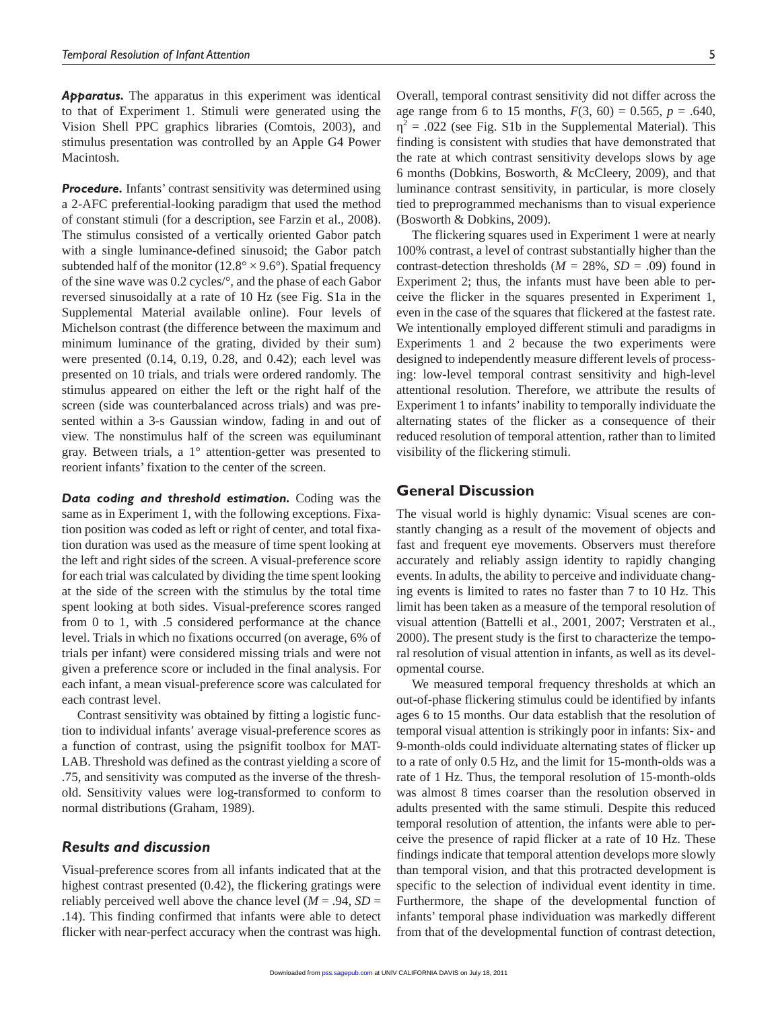*Apparatus.* The apparatus in this experiment was identical to that of Experiment 1. Stimuli were generated using the Vision Shell PPC graphics libraries (Comtois, 2003), and stimulus presentation was controlled by an Apple G4 Power Macintosh.

**Procedure.** Infants' contrast sensitivity was determined using a 2-AFC preferential-looking paradigm that used the method of constant stimuli (for a description, see Farzin et al., 2008). The stimulus consisted of a vertically oriented Gabor patch with a single luminance-defined sinusoid; the Gabor patch subtended half of the monitor ( $12.8^\circ \times 9.6^\circ$ ). Spatial frequency of the sine wave was 0.2 cycles/°, and the phase of each Gabor reversed sinusoidally at a rate of 10 Hz (see Fig. S1a in the Supplemental Material available online). Four levels of Michelson contrast (the difference between the maximum and minimum luminance of the grating, divided by their sum) were presented (0.14, 0.19, 0.28, and 0.42); each level was presented on 10 trials, and trials were ordered randomly. The stimulus appeared on either the left or the right half of the screen (side was counterbalanced across trials) and was presented within a 3-s Gaussian window, fading in and out of view. The nonstimulus half of the screen was equiluminant gray. Between trials, a 1° attention-getter was presented to reorient infants' fixation to the center of the screen.

*Data coding and threshold estimation.* Coding was the same as in Experiment 1, with the following exceptions. Fixation position was coded as left or right of center, and total fixation duration was used as the measure of time spent looking at the left and right sides of the screen. A visual-preference score for each trial was calculated by dividing the time spent looking at the side of the screen with the stimulus by the total time spent looking at both sides. Visual-preference scores ranged from 0 to 1, with .5 considered performance at the chance level. Trials in which no fixations occurred (on average, 6% of trials per infant) were considered missing trials and were not given a preference score or included in the final analysis. For each infant, a mean visual-preference score was calculated for each contrast level.

Contrast sensitivity was obtained by fitting a logistic function to individual infants' average visual-preference scores as a function of contrast, using the psignifit toolbox for MAT-LAB. Threshold was defined as the contrast yielding a score of .75, and sensitivity was computed as the inverse of the threshold. Sensitivity values were log-transformed to conform to normal distributions (Graham, 1989).

# *Results and discussion*

Visual-preference scores from all infants indicated that at the highest contrast presented (0.42), the flickering gratings were reliably perceived well above the chance level  $(M = .94, SD =$ .14). This finding confirmed that infants were able to detect flicker with near-perfect accuracy when the contrast was high.

Overall, temporal contrast sensitivity did not differ across the age range from 6 to 15 months,  $F(3, 60) = 0.565$ ,  $p = .640$ ,  $2^2$  = .022 (see Fig. S1b in the Supplemental Material). This finding is consistent with studies that have demonstrated that the rate at which contrast sensitivity develops slows by age 6 months (Dobkins, Bosworth, & McCleery, 2009), and that luminance contrast sensitivity, in particular, is more closely tied to preprogrammed mechanisms than to visual experience (Bosworth & Dobkins, 2009).

The flickering squares used in Experiment 1 were at nearly 100% contrast, a level of contrast substantially higher than the contrast-detection thresholds ( $M = 28\%$ ,  $SD = .09$ ) found in Experiment 2; thus, the infants must have been able to perceive the flicker in the squares presented in Experiment 1, even in the case of the squares that flickered at the fastest rate. We intentionally employed different stimuli and paradigms in Experiments 1 and 2 because the two experiments were designed to independently measure different levels of processing: low-level temporal contrast sensitivity and high-level attentional resolution. Therefore, we attribute the results of Experiment 1 to infants' inability to temporally individuate the alternating states of the flicker as a consequence of their reduced resolution of temporal attention, rather than to limited visibility of the flickering stimuli.

# **General Discussion**

The visual world is highly dynamic: Visual scenes are constantly changing as a result of the movement of objects and fast and frequent eye movements. Observers must therefore accurately and reliably assign identity to rapidly changing events. In adults, the ability to perceive and individuate changing events is limited to rates no faster than 7 to 10 Hz. This limit has been taken as a measure of the temporal resolution of visual attention (Battelli et al., 2001, 2007; Verstraten et al., 2000). The present study is the first to characterize the temporal resolution of visual attention in infants, as well as its developmental course.

We measured temporal frequency thresholds at which an out-of-phase flickering stimulus could be identified by infants ages 6 to 15 months. Our data establish that the resolution of temporal visual attention is strikingly poor in infants: Six- and 9-month-olds could individuate alternating states of flicker up to a rate of only 0.5 Hz, and the limit for 15-month-olds was a rate of 1 Hz. Thus, the temporal resolution of 15-month-olds was almost 8 times coarser than the resolution observed in adults presented with the same stimuli. Despite this reduced temporal resolution of attention, the infants were able to perceive the presence of rapid flicker at a rate of 10 Hz. These findings indicate that temporal attention develops more slowly than temporal vision, and that this protracted development is specific to the selection of individual event identity in time. Furthermore, the shape of the developmental function of infants' temporal phase individuation was markedly different from that of the developmental function of contrast detection,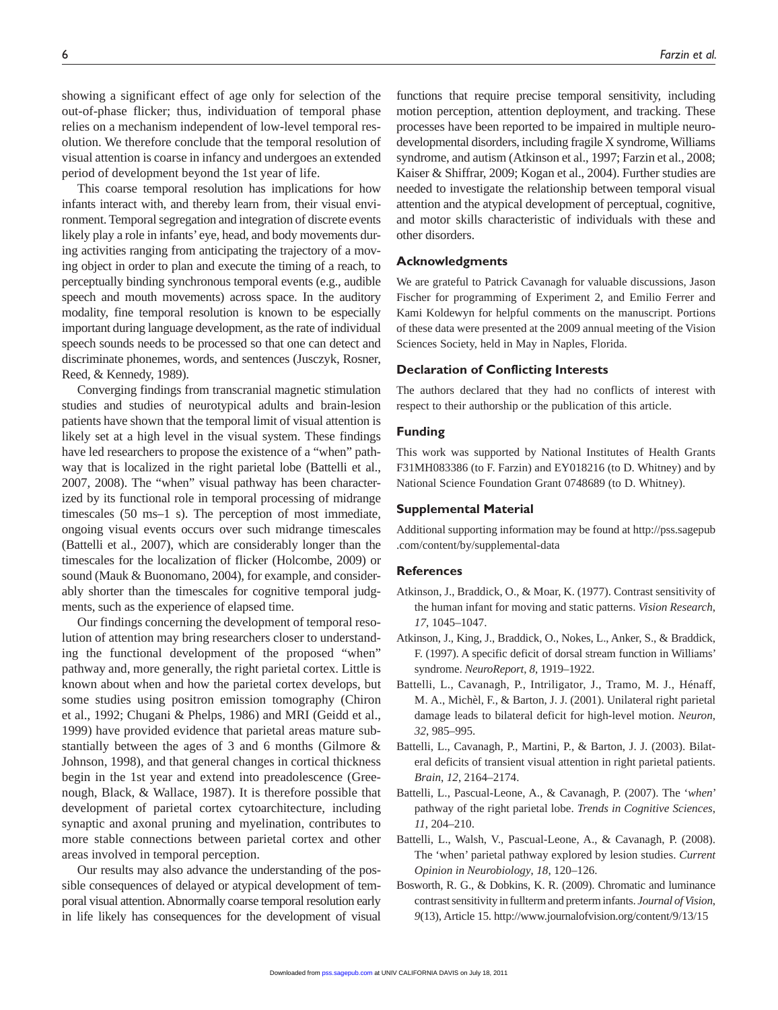showing a significant effect of age only for selection of the out-of-phase flicker; thus, individuation of temporal phase relies on a mechanism independent of low-level temporal resolution. We therefore conclude that the temporal resolution of visual attention is coarse in infancy and undergoes an extended period of development beyond the 1st year of life.

This coarse temporal resolution has implications for how infants interact with, and thereby learn from, their visual environment. Temporal segregation and integration of discrete events likely play a role in infants' eye, head, and body movements during activities ranging from anticipating the trajectory of a moving object in order to plan and execute the timing of a reach, to perceptually binding synchronous temporal events (e.g., audible speech and mouth movements) across space. In the auditory modality, fine temporal resolution is known to be especially important during language development, as the rate of individual speech sounds needs to be processed so that one can detect and discriminate phonemes, words, and sentences (Jusczyk, Rosner, Reed, & Kennedy, 1989).

Converging findings from transcranial magnetic stimulation studies and studies of neurotypical adults and brain-lesion patients have shown that the temporal limit of visual attention is likely set at a high level in the visual system. These findings have led researchers to propose the existence of a "when" pathway that is localized in the right parietal lobe (Battelli et al., 2007, 2008). The "when" visual pathway has been characterized by its functional role in temporal processing of midrange timescales (50 ms–1 s). The perception of most immediate, ongoing visual events occurs over such midrange timescales (Battelli et al., 2007), which are considerably longer than the timescales for the localization of flicker (Holcombe, 2009) or sound (Mauk & Buonomano, 2004), for example, and considerably shorter than the timescales for cognitive temporal judgments, such as the experience of elapsed time.

Our findings concerning the development of temporal resolution of attention may bring researchers closer to understanding the functional development of the proposed "when" pathway and, more generally, the right parietal cortex. Little is known about when and how the parietal cortex develops, but some studies using positron emission tomography (Chiron et al., 1992; Chugani & Phelps, 1986) and MRI (Geidd et al., 1999) have provided evidence that parietal areas mature substantially between the ages of 3 and 6 months (Gilmore & Johnson, 1998), and that general changes in cortical thickness begin in the 1st year and extend into preadolescence (Greenough, Black, & Wallace, 1987). It is therefore possible that development of parietal cortex cytoarchitecture, including synaptic and axonal pruning and myelination, contributes to more stable connections between parietal cortex and other areas involved in temporal perception.

Our results may also advance the understanding of the possible consequences of delayed or atypical development of temporal visual attention. Abnormally coarse temporal resolution early in life likely has consequences for the development of visual functions that require precise temporal sensitivity, including motion perception, attention deployment, and tracking. These processes have been reported to be impaired in multiple neurodevelopmental disorders, including fragile X syndrome, Williams syndrome, and autism (Atkinson et al., 1997; Farzin et al., 2008; Kaiser & Shiffrar, 2009; Kogan et al., 2004). Further studies are needed to investigate the relationship between temporal visual attention and the atypical development of perceptual, cognitive, and motor skills characteristic of individuals with these and other disorders.

#### **Acknowledgments**

We are grateful to Patrick Cavanagh for valuable discussions, Jason Fischer for programming of Experiment 2, and Emilio Ferrer and Kami Koldewyn for helpful comments on the manuscript. Portions of these data were presented at the 2009 annual meeting of the Vision Sciences Society, held in May in Naples, Florida.

## **Declaration of Conflicting Interests**

The authors declared that they had no conflicts of interest with respect to their authorship or the publication of this article.

## **Funding**

This work was supported by National Institutes of Health Grants F31MH083386 (to F. Farzin) and EY018216 (to D. Whitney) and by National Science Foundation Grant 0748689 (to D. Whitney).

#### **Supplemental Material**

Additional supporting information may be found at http://pss.sagepub .com/content/by/supplemental-data

#### **References**

- Atkinson, J., Braddick, O., & Moar, K. (1977). Contrast sensitivity of the human infant for moving and static patterns. *Vision Research*, *17*, 1045–1047.
- Atkinson, J., King, J., Braddick, O., Nokes, L., Anker, S., & Braddick, F. (1997). A specific deficit of dorsal stream function in Williams' syndrome. *NeuroReport*, *8*, 1919–1922.
- Battelli, L., Cavanagh, P., Intriligator, J., Tramo, M. J., Hénaff, M. A., Michèl, F., & Barton, J. J. (2001). Unilateral right parietal damage leads to bilateral deficit for high-level motion. *Neuron*, *32*, 985–995.
- Battelli, L., Cavanagh, P., Martini, P., & Barton, J. J. (2003). Bilateral deficits of transient visual attention in right parietal patients. *Brain*, *12*, 2164–2174.
- Battelli, L., Pascual-Leone, A., & Cavanagh, P. (2007). The '*when*' pathway of the right parietal lobe. *Trends in Cognitive Sciences*, *11*, 204–210.
- Battelli, L., Walsh, V., Pascual-Leone, A., & Cavanagh, P. (2008). The 'when' parietal pathway explored by lesion studies. *Current Opinion in Neurobiology*, *18*, 120–126.
- Bosworth, R. G., & Dobkins, K. R. (2009). Chromatic and luminance contrast sensitivity in fullterm and preterm infants. *Journal of Vision*, *9*(13), Article 15. http://www.journalofvision.org/content/9/13/15